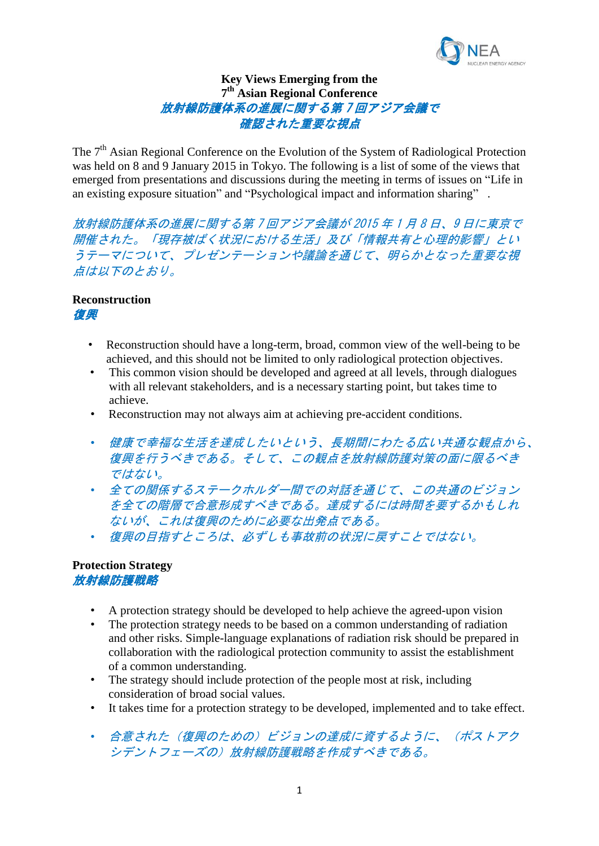

# **Key Views Emerging from the 7 th Asian Regional Conference** 放射線防護体系の進展に関する第 7 回アジア会議で 確認された重要な視点

The 7<sup>th</sup> Asian Regional Conference on the Evolution of the System of Radiological Protection was held on 8 and 9 January 2015 in Tokyo. The following is a list of some of the views that emerged from presentations and discussions during the meeting in terms of issues on "Life in an existing exposure situation" and "Psychological impact and information sharing" .

放射線防護体系の進展に関する第 7 回アジア会議が 2015 年 1 月 8 日、9 日に東京で 開催された。「現存被ばく状況における生活」及び「情報共有と心理的影響」とい うテーマについて、プレゼンテーションや議論を通じて、明らかとなった重要な視 点は以下のとおり。

#### **Reconstruction** 復興

- Reconstruction should have a long-term, broad, common view of the well-being to be achieved, and this should not be limited to only radiological protection objectives.
	- This common vision should be developed and agreed at all levels, through dialogues with all relevant stakeholders, and is a necessary starting point, but takes time to achieve.
	- Reconstruction may not always aim at achieving pre-accident conditions.
	- 健康で幸福な生活を達成したいという、長期間にわたる広い共通な観点から、 復興を行うべきである。そして、この観点を放射線防護対策の面に限るべき ではない。
	- 全ての関係するステークホルダー間での対話を通じて、この共通のビジョン を全ての階層で合意形成すべきである。達成するには時間を要するかもしれ ないが、これは復興のために必要な出発点である。
	- 復興の目指すところは、必ずしも事故前の状況に戻すことではない。

## **Protection Strategy** 放射線防護戦略

- A protection strategy should be developed to help achieve the agreed-upon vision
- The protection strategy needs to be based on a common understanding of radiation and other risks. Simple-language explanations of radiation risk should be prepared in collaboration with the radiological protection community to assist the establishment of a common understanding.
- The strategy should include protection of the people most at risk, including consideration of broad social values.
- It takes time for a protection strategy to be developed, implemented and to take effect.
- 合意された(復興のための)ビジョンの達成に資するように、(ポストアク シデントフェーズの)放射線防護戦略を作成すべきである。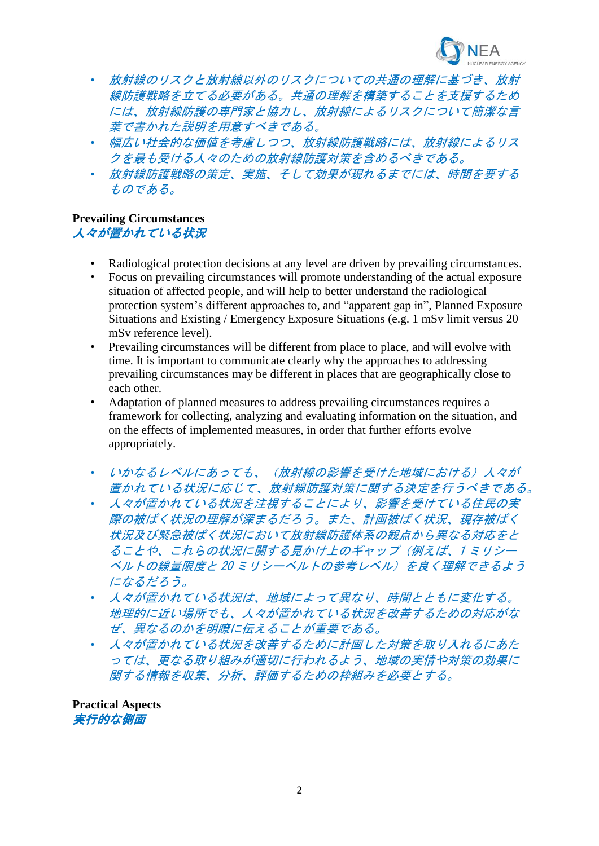

- 放射線のリスクと放射線以外のリスクについての共通の理解に基づき、放射 線防護戦略を立てる必要がある。共通の理解を構築することを支援するため には、放射線防護の専門家と協力し、放射線によるリスクについて簡潔な言 葉で書かれた説明を用意すべきである。
- 幅広い社会的な価値を考慮しつつ、放射線防護戦略には、放射線によるリス クを最も受ける人々のための放射線防護対策を含めるべきである。
- 放射線防護戦略の策定、実施、そして効果が現れるまでには、時間を要する ものである。

### **Prevailing Circumstances** 人々が置かれている状況

- Radiological protection decisions at any level are driven by prevailing circumstances.
- Focus on prevailing circumstances will promote understanding of the actual exposure situation of affected people, and will help to better understand the radiological protection system's different approaches to, and "apparent gap in", Planned Exposure Situations and Existing / Emergency Exposure Situations (e.g. 1 mSv limit versus 20 mSv reference level).
- Prevailing circumstances will be different from place to place, and will evolve with time. It is important to communicate clearly why the approaches to addressing prevailing circumstances may be different in places that are geographically close to each other.
- Adaptation of planned measures to address prevailing circumstances requires a framework for collecting, analyzing and evaluating information on the situation, and on the effects of implemented measures, in order that further efforts evolve appropriately.
- いかなるレベルにあっても、(放射線の影響を受けた地域における)人々が 置かれている状況に応じて、放射線防護対策に関する決定を行うべきである。
- 人々が置かれている状況を注視することにより、影響を受けている住民の実 際の被ばく状況の理解が深まるだろう。また、計画被ばく状況、現存被ばく 状況及び緊急被ばく状況において放射線防護体系の観点から異なる対応をと ることや、これらの状況に関する見かけ上のギャップ(例えば、1 ミリシー ベルトの線量限度と 20 ミリシーベルトの参考レベル)を良く理解できるよう になるだろう。
- 人々が置かれている状況は、地域によって異なり、時間とともに変化する。 地理的に近い場所でも、人々が置かれている状況を改善するための対応がな ぜ、異なるのかを明瞭に伝えることが重要である。
- 人々が置かれている状況を改善するために計画した対策を取り入れるにあた っては、更なる取り組みが適切に行われるよう、地域の実情や対策の効果に 関する情報を収集、分析、評価するための枠組みを必要とする。

**Practical Aspects** 実行的な側面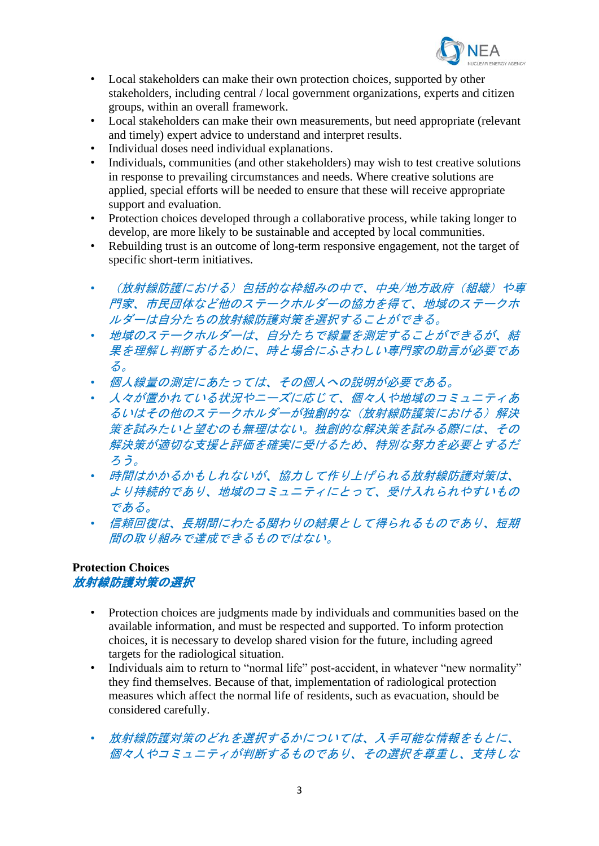

- Local stakeholders can make their own protection choices, supported by other stakeholders, including central / local government organizations, experts and citizen groups, within an overall framework.
- Local stakeholders can make their own measurements, but need appropriate (relevant and timely) expert advice to understand and interpret results.
- Individual doses need individual explanations.
- Individuals, communities (and other stakeholders) may wish to test creative solutions in response to prevailing circumstances and needs. Where creative solutions are applied, special efforts will be needed to ensure that these will receive appropriate support and evaluation.
- Protection choices developed through a collaborative process, while taking longer to develop, are more likely to be sustainable and accepted by local communities.
- Rebuilding trust is an outcome of long-term responsive engagement, not the target of specific short-term initiatives.
- (放射線防護における)包括的な枠組みの中で、中央/地方政府(組織)や専 門家、市民団体など他のステークホルダーの協力を得て、地域のステークホ ルダーは自分たちの放射線防護対策を選択することができる。
- 地域のステークホルダーは、自分たちで線量を測定することができるが、結 果を理解し判断するために、時と場合にふさわしい専門家の助言が必要であ る。
- 個人線量の測定にあたっては、その個人への説明が必要である。
- 人々が置かれている状況やニーズに応じて、個々人や地域のコミュニティあ るいはその他のステークホルダーが独創的な(放射線防護策における)解決 策を試みたいと望むのも無理はない。独創的な解決策を試みる際には、その 解決策が適切な支援と評価を確実に受けるため、特別な努力を必要とするだ ろう。
- 時間はかかるかもしれないが、協力して作り上げられる放射線防護対策は、 より持続的であり、地域のコミュニティにとって、受け入れられやすいもの である。
- 信頼回復は、長期間にわたる関わりの結果として得られるものであり、短期 間の取り組みで達成できるものではない。

## **Protection Choices** 放射線防護対策の選択

- Protection choices are judgments made by individuals and communities based on the available information, and must be respected and supported. To inform protection choices, it is necessary to develop shared vision for the future, including agreed targets for the radiological situation.
- Individuals aim to return to "normal life" post-accident, in whatever "new normality" they find themselves. Because of that, implementation of radiological protection measures which affect the normal life of residents, such as evacuation, should be considered carefully.
- 放射線防護対策のどれを選択するかについては、入手可能な情報をもとに、 個々人やコミュニティが判断するものであり、その選択を尊重し、支持しな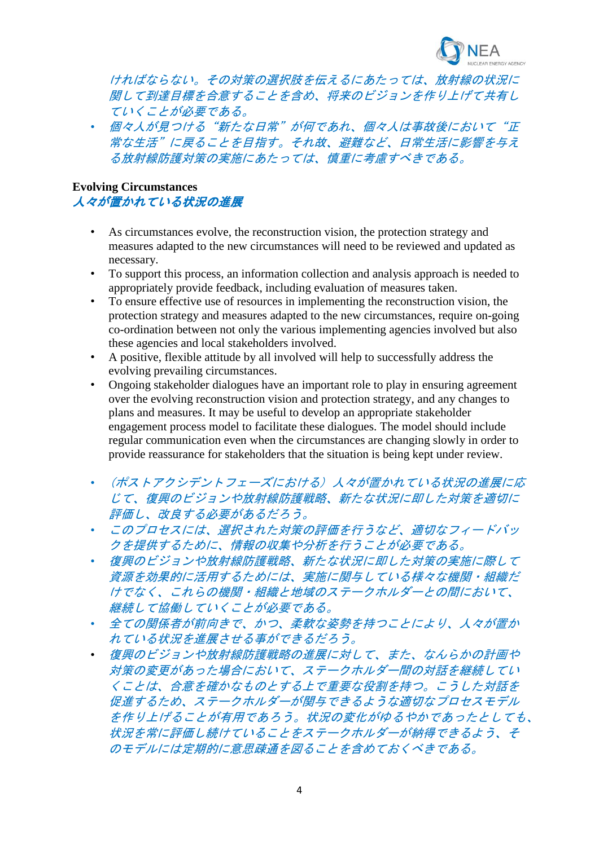

ければならない。その対策の選択肢を伝えるにあたっては、放射線の状況に 関して到達目標を合意することを含め、将来のビジョンを作り上げて共有し ていくことが必要である。

• 個々人が見つける"新たな日常"が何であれ、個々人は事故後において"正 常な生活"に戻ることを目指す。それ故、避難など、日常生活に影響を与え る放射線防護対策の実施にあたっては、慎重に考慮すべきである。

#### **Evolving Circumstances** 人々が置かれている状況の進展

- As circumstances evolve, the reconstruction vision, the protection strategy and measures adapted to the new circumstances will need to be reviewed and updated as necessary.
- To support this process, an information collection and analysis approach is needed to appropriately provide feedback, including evaluation of measures taken.
- To ensure effective use of resources in implementing the reconstruction vision, the protection strategy and measures adapted to the new circumstances, require on-going co-ordination between not only the various implementing agencies involved but also these agencies and local stakeholders involved.
- A positive, flexible attitude by all involved will help to successfully address the evolving prevailing circumstances.
- Ongoing stakeholder dialogues have an important role to play in ensuring agreement over the evolving reconstruction vision and protection strategy, and any changes to plans and measures. It may be useful to develop an appropriate stakeholder engagement process model to facilitate these dialogues. The model should include regular communication even when the circumstances are changing slowly in order to provide reassurance for stakeholders that the situation is being kept under review.
- (ポストアクシデントフェーズにおける) 人々が置かれている状況の進展に応 じて、復興のビジョンや放射線防護戦略、新たな状況に即した対策を適切に 評価し、改良する必要があるだろう。
- このプロセスには、選択された対策の評価を行うなど、適切なフィードバッ クを提供するために、情報の収集や分析を行うことが必要である。
- 復興のビジョンや放射線防護戦略、新たな状況に即した対策の実施に際して 資源を効果的に活用するためには、実施に関与している様々な機関・組織だ けでなく、これらの機関・組織と地域のステークホルダーとの間において、 継続して協働していくことが必要である。
- 全ての関係者が前向きで、かつ、柔軟な姿勢を持つことにより、人々が置か れている状況を進展させる事ができるだろう。
- 復興のビジョンや放射線防護戦略の進展に対して、また、なんらかの計画や 対策の変更があった場合において、ステークホルダー間の対話を継続してい くことは、合意を確かなものとする上で重要な役割を持つ。こうした対話を 促進するため、ステークホルダーが関与できるような適切なプロセスモデル を作り上げることが有用であろう。状況の変化がゆるやかであったとしても、 状況を常に評価し続けていることをステークホルダーが納得できるよう、そ のモデルには定期的に意思疎通を図ることを含めておくべきである。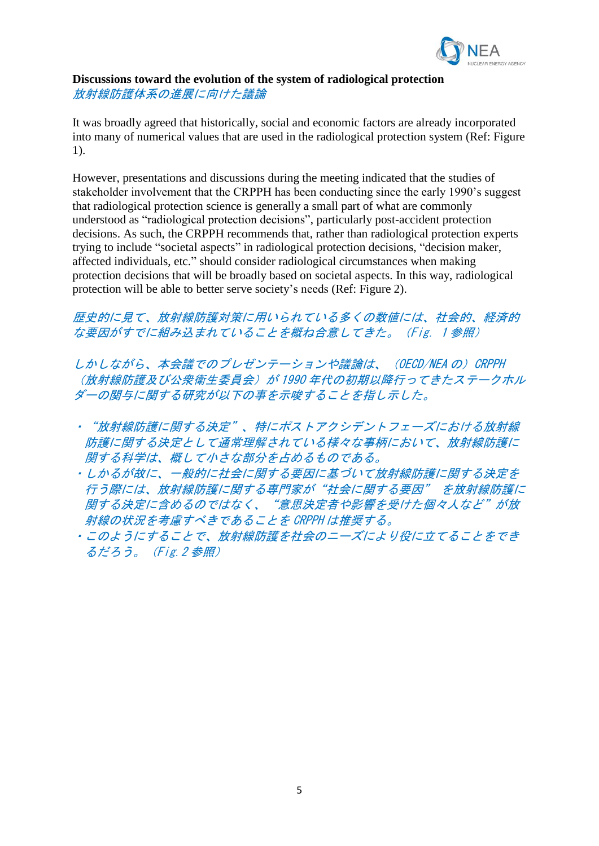

#### **Discussions toward the evolution of the system of radiological protection** 放射線防護体系の進展に向けた議論

It was broadly agreed that historically, social and economic factors are already incorporated into many of numerical values that are used in the radiological protection system (Ref: Figure 1).

However, presentations and discussions during the meeting indicated that the studies of stakeholder involvement that the CRPPH has been conducting since the early 1990's suggest that radiological protection science is generally a small part of what are commonly understood as "radiological protection decisions", particularly post-accident protection decisions. As such, the CRPPH recommends that, rather than radiological protection experts trying to include "societal aspects" in radiological protection decisions, "decision maker, affected individuals, etc." should consider radiological circumstances when making protection decisions that will be broadly based on societal aspects. In this way, radiological protection will be able to better serve society's needs (Ref: Figure 2).

# 歴史的に見て、放射線防護対策に用いられている多くの数値には、社会的、経済的 な要因がすでに組み込まれていることを概ね合意してきた。(Fig.1 参照)

しかしながら、本会議でのプレゼンテーションや議論は、(OECD/NEA の)CRPPH (放射線防護及び公衆衛生委員会)が 1990 年代の初期以降行ってきたステークホル ダーの関与に関する研究が以下の事を示唆することを指し示した。

- ・"放射線防護に関する決定"、特にポストアクシデントフェーズにおける放射線 防護に関する決定として通常理解されている様々な事柄において、放射線防護に 関する科学は、概して小さな部分を占めるものである。
- ・しかるが故に、一般的に社会に関する要因に基づいて放射線防護に関する決定を 行う際には、放射線防護に関する専門家が"社会に関する要因" を放射線防護に 関する決定に含めるのではなく、"意思決定者や影響を受けた個々人など"が放 射線の状況を考慮すべきであることを CRPPH は推奨する。
- ・このようにすることで、放射線防護を社会のニーズにより役に立てることをでき るだろう。(Fig.2 参照)